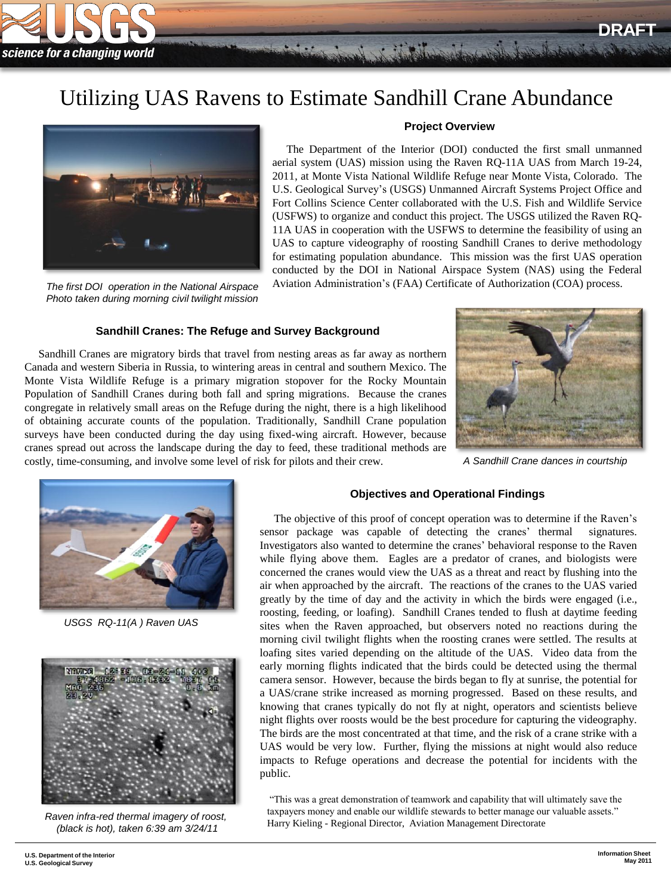

# Utilizing UAS Ravens to Estimate Sandhill Crane Abundance



*The first DOI operation in the National Airspace Photo taken during morning civil twilight mission*

# **Project Overview**

The merch such show make which the

 The Department of the Interior (DOI) conducted the first small unmanned aerial system (UAS) mission using the Raven RQ-11A UAS from March 19-24, 2011, at Monte Vista National Wildlife Refuge near Monte Vista, Colorado. The U.S. Geological Survey's (USGS) Unmanned Aircraft Systems Project Office and Fort Collins Science Center collaborated with the U.S. Fish and Wildlife Service (USFWS) to organize and conduct this project. The USGS utilized the Raven RQ-11A UAS in cooperation with the USFWS to determine the feasibility of using an UAS to capture videography of roosting Sandhill Cranes to derive methodology for estimating population abundance. This mission was the first UAS operation conducted by the DOI in National Airspace System (NAS) using the Federal Aviation Administration's (FAA) Certificate of Authorization (COA) process.

# **Sandhill Cranes: The Refuge and Survey Background**

 Sandhill Cranes are migratory birds that travel from nesting areas as far away as northern Canada and western Siberia in Russia, to wintering areas in central and southern Mexico. The Monte Vista Wildlife Refuge is a primary migration stopover for the Rocky Mountain Population of Sandhill Cranes during both fall and spring migrations. Because the cranes congregate in relatively small areas on the Refuge during the night, there is a high likelihood of obtaining accurate counts of the population. Traditionally, Sandhill Crane population surveys have been conducted during the day using fixed-wing aircraft. However, because cranes spread out across the landscape during the day to feed, these traditional methods are costly, time-consuming, and involve some level of risk for pilots and their crew.



*A Sandhill Crane dances in courtship*



*USGS RQ-11(A ) Raven UAS*



*Raven infra-red thermal imagery of roost, (black is hot), taken 6:39 am 3/24/11*

#### **Objectives and Operational Findings**

 The objective of this proof of concept operation was to determine if the Raven's sensor package was capable of detecting the cranes' thermal signatures. Investigators also wanted to determine the cranes' behavioral response to the Raven while flying above them. Eagles are a predator of cranes, and biologists were concerned the cranes would view the UAS as a threat and react by flushing into the air when approached by the aircraft. The reactions of the cranes to the UAS varied greatly by the time of day and the activity in which the birds were engaged (i.e., roosting, feeding, or loafing). Sandhill Cranes tended to flush at daytime feeding sites when the Raven approached, but observers noted no reactions during the morning civil twilight flights when the roosting cranes were settled. The results at loafing sites varied depending on the altitude of the UAS. Video data from the early morning flights indicated that the birds could be detected using the thermal camera sensor. However, because the birds began to fly at sunrise, the potential for a UAS/crane strike increased as morning progressed. Based on these results, and knowing that cranes typically do not fly at night, operators and scientists believe night flights over roosts would be the best procedure for capturing the videography. The birds are the most concentrated at that time, and the risk of a crane strike with a UAS would be very low. Further, flying the missions at night would also reduce impacts to Refuge operations and decrease the potential for incidents with the public.

"This was a great demonstration of teamwork and capability that will ultimately save the taxpayers money and enable our wildlife stewards to better manage our valuable assets." Harry Kieling - Regional Director, Aviation Management Directorate